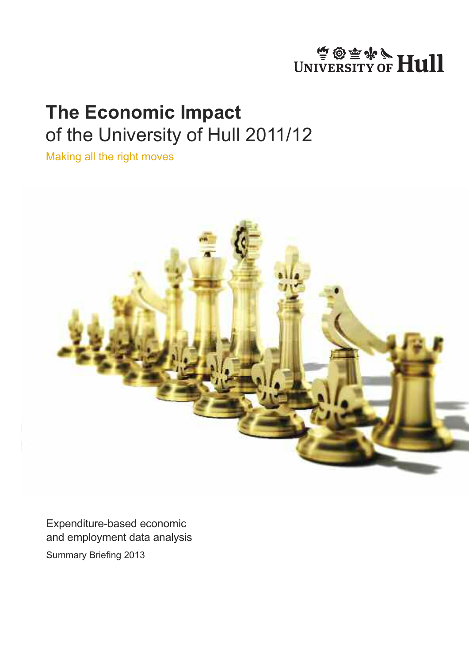# WINIVERSITY OF **Hull**

## **The Economic Impact** of the University of Hull 2011/12

Making all the right moves



Expenditure-based economic and employment data analysis Summary Briefing 2013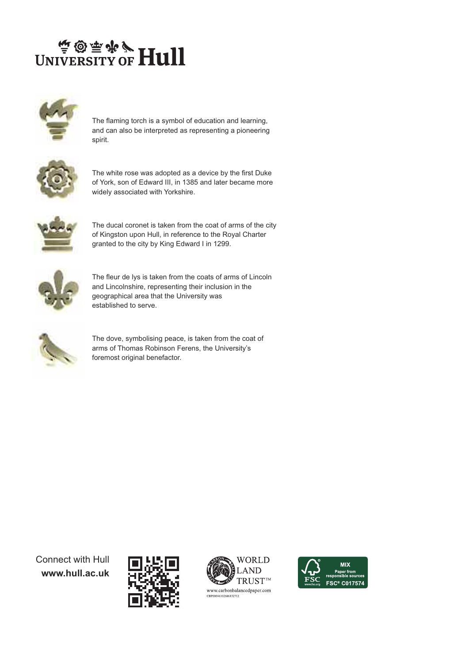# WINIVERSITY OF **Hull**



The flaming torch is a symbol of education and learning, and can also be interpreted as representing a pioneering spirit.



The white rose was adopted as a device by the first Duke of York, son of Edward III, in 1385 and later became more widely associated with Yorkshire.



The ducal coronet is taken from the coat of arms of the city of Kingston upon Hull, in reference to the Royal Charter granted to the city by King Edward I in 1299.



The fleur de lys is taken from the coats of arms of Lincoln and Lincolnshire, representing their inclusion in the geographical area that the University was established to serve.



The dove, symbolising peace, is taken from the coat of arms of Thomas Robinson Ferens, the University's foremost original benefactor.

Connect with Hull **www.hull.ac.uk**





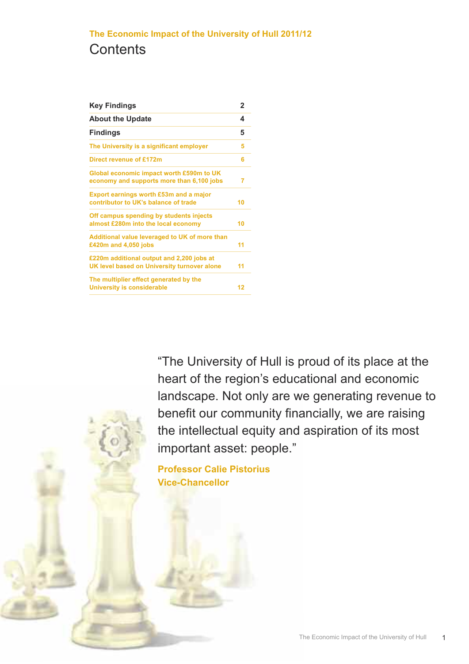### **The Economic Impact of the University of Hull 2011/12 Contents**

| <b>Key Findings</b>                                                                      | 2  |
|------------------------------------------------------------------------------------------|----|
| <b>About the Update</b>                                                                  | 4  |
| <b>Findings</b>                                                                          | 5  |
| The University is a significant employer                                                 | 5  |
| Direct revenue of £172m                                                                  | 6  |
| Global economic impact worth £590m to UK<br>economy and supports more than 6,100 jobs    | 7  |
| Export earnings worth £53m and a major<br>contributor to UK's balance of trade           | 10 |
| Off campus spending by students injects<br>almost £280m into the local economy           | 10 |
| Additional value leveraged to UK of more than<br>£420m and 4,050 jobs                    | 11 |
| £220m additional output and 2,200 jobs at<br>UK level based on University turnover alone | 11 |
| The multiplier effect generated by the<br><b>University is considerable</b>              | 12 |

"The University of Hull is proud of its place at the heart of the region's educational and economic landscape. Not only are we generating revenue to benefit our community financially, we are raising the intellectual equity and aspiration of its most important asset: people."

**Professor Calie Pistorius Vice-Chancellor**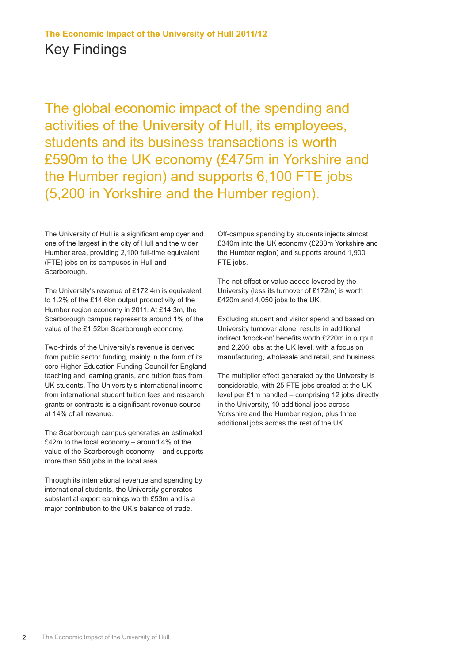The global economic impact of the spending and activities of the University of Hull, its employees, students and its business transactions is worth £590m to the UK economy (£475m in Yorkshire and the Humber region) and supports 6,100 FTE jobs (5,200 in Yorkshire and the Humber region).

The University of Hull is a significant employer and one of the largest in the city of Hull and the wider Humber area, providing 2,100 full-time equivalent (FTE) jobs on its campuses in Hull and Scarborough.

The University's revenue of £172.4m is equivalent to 1.2% of the £14.6bn output productivity of the Humber region economy in 2011. At £14.3m, the Scarborough campus represents around 1% of the value of the £1.52bn Scarborough economy.

Two-thirds of the University's revenue is derived from public sector funding, mainly in the form of its core Higher Education Funding Council for England teaching and learning grants, and tuition fees from UK students. The University's international income from international student tuition fees and research grants or contracts is a significant revenue source at 14% of all revenue.

The Scarborough campus generates an estimated £42m to the local economy – around 4% of the value of the Scarborough economy – and supports more than 550 jobs in the local area.

Through its international revenue and spending by international students, the University generates substantial export earnings worth £53m and is a major contribution to the UK's balance of trade.

Off-campus spending by students injects almost £340m into the UK economy (£280m Yorkshire and the Humber region) and supports around 1,900 FTE jobs.

The net effect or value added levered by the University (less its turnover of £172m) is worth £420m and 4,050 jobs to the UK.

Excluding student and visitor spend and based on University turnover alone, results in additional indirect 'knock-on' benefits worth £220m in output and 2,200 jobs at the UK level, with a focus on manufacturing, wholesale and retail, and business.

The multiplier effect generated by the University is considerable, with 25 FTE jobs created at the UK level per £1m handled – comprising 12 jobs directly in the University, 10 additional jobs across Yorkshire and the Humber region, plus three additional jobs across the rest of the UK.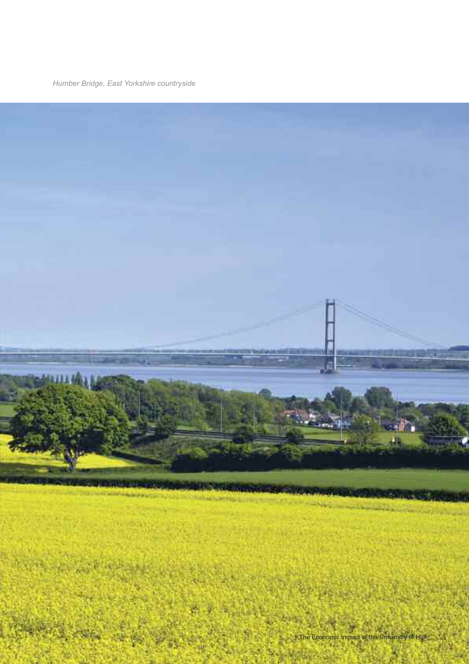*Humber Bridge, East Yorkshire countryside*

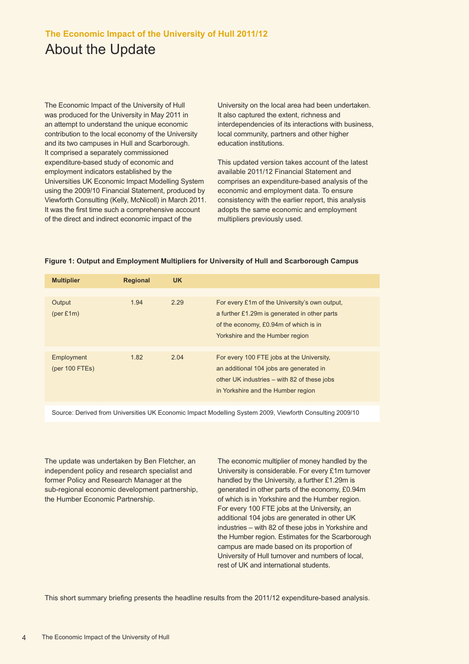### **The Economic Impact of the University of Hull 2011/12** About the Update

The Economic Impact of the University of Hull was produced for the University in May 2011 in an attempt to understand the unique economic contribution to the local economy of the University and its two campuses in Hull and Scarborough. It comprised a separately commissioned expenditure-based study of economic and employment indicators established by the Universities UK Economic Impact Modelling System using the 2009/10 Financial Statement, produced by Viewforth Consulting (Kelly, McNicoll) in March 2011. It was the first time such a comprehensive account of the direct and indirect economic impact of the

University on the local area had been undertaken. It also captured the extent, richness and interdependencies of its interactions with business, local community, partners and other higher education institutions.

This updated version takes account of the latest available 2011/12 Financial Statement and comprises an expenditure-based analysis of the economic and employment data. To ensure consistency with the earlier report, this analysis adopts the same economic and employment multipliers previously used.

|  |  | Figure 1: Output and Employment Multipliers for University of Hull and Scarborough Campus |
|--|--|-------------------------------------------------------------------------------------------|
|--|--|-------------------------------------------------------------------------------------------|

| <b>Multiplier</b>                             | <b>Regional</b> | <b>UK</b> |                                                                                                                                                                           |
|-----------------------------------------------|-----------------|-----------|---------------------------------------------------------------------------------------------------------------------------------------------------------------------------|
| Output<br>$(\text{per } \pounds \mathbf{1m})$ | 1.94            | 2.29      | For every £1m of the University's own output,<br>a further £1.29m is generated in other parts<br>of the economy, £0.94m of which is in<br>Yorkshire and the Humber region |
| Employment<br>$(per 100$ FTEs)                | 1.82            | 2.04      | For every 100 FTE jobs at the University.<br>an additional 104 jobs are generated in<br>other UK industries – with 82 of these jobs<br>in Yorkshire and the Humber region |

Source: Derived from Universities UK Economic Impact Modelling System 2009, Viewforth Consulting 2009/10

The update was undertaken by Ben Fletcher, an independent policy and research specialist and former Policy and Research Manager at the sub-regional economic development partnership, the Humber Economic Partnership.

The economic multiplier of money handled by the University is considerable. For every £1m turnover handled by the University, a further £1.29m is generated in other parts of the economy, £0.94m of which is in Yorkshire and the Humber region. For every 100 FTE jobs at the University, an additional 104 jobs are generated in other UK industries – with 82 of these jobs in Yorkshire and the Humber region. Estimates for the Scarborough campus are made based on its proportion of University of Hull turnover and numbers of local, rest of UK and international students.

This short summary briefing presents the headline results from the 2011/12 expenditure-based analysis.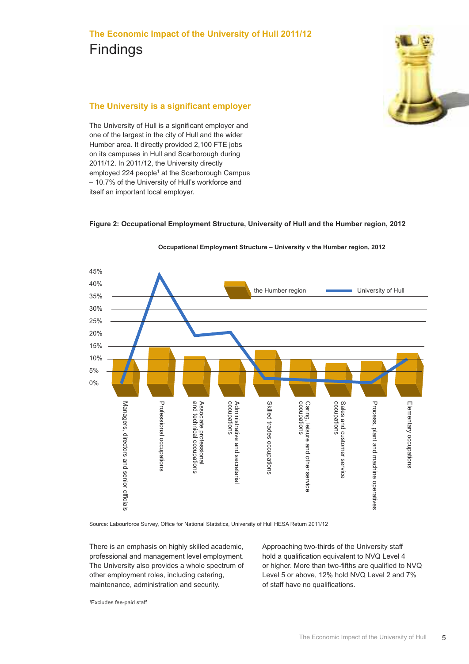

#### **The University is a significant employer**

The University of Hull is a significant employer and one of the largest in the city of Hull and the wider Humber area. It directly provided 2,100 FTE jobs on its campuses in Hull and Scarborough during 2011/12. In 2011/12, the University directly employed 224 people<sup>1</sup> at the Scarborough Campus – 10.7% of the University of Hull's workforce and itself an important local employer.

#### **Figure 2: Occupational Employment Structure, University of Hull and the Humber region, 2012**



#### **Occupational Employment Structure – University v the Humber region, 2012**

Source: Labourforce Survey, Office for National Statistics, University of Hull HESA Return 2011/12

There is an emphasis on highly skilled academic, professional and management level employment. The University also provides a whole spectrum of other employment roles, including catering, maintenance, administration and security.

Approaching two-thirds of the University staff hold a qualification equivalent to NVQ Level 4 or higher. More than two-fifths are qualified to NVQ Level 5 or above, 12% hold NVQ Level 2 and 7% of staff have no qualifications.

1Excludes fee-paid staff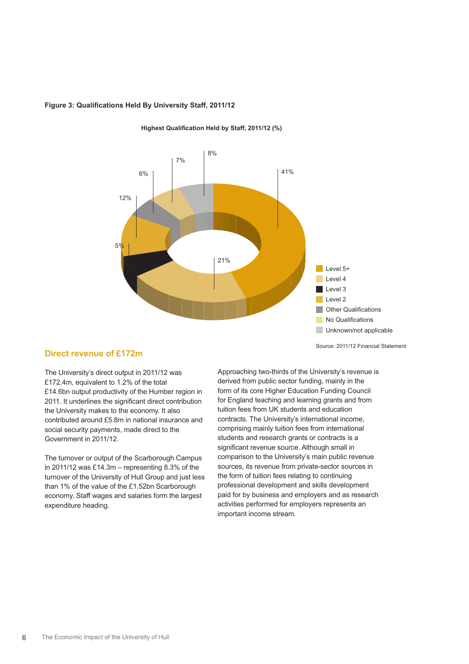

#### **Figure 3: Qualifications Held By University Staff, 2011/12**

**Highest Qualification Held by Staff, 2011/12 (%)**

Source: 2011/12 Financial Statement

#### **Direct revenue of £172m**

The University's direct output in 2011/12 was £172.4m, equivalent to 1.2% of the total £14.6bn output productivity of the Humber region in 2011. It underlines the significant direct contribution the University makes to the economy. It also contributed around £5.8m in national insurance and social security payments, made direct to the Government in 2011/12.

The turnover or output of the Scarborough Campus in 2011/12 was £14.3m – representing 8.3% of the turnover of the University of Hull Group and just less than 1% of the value of the £1.52bn Scarborough economy. Staff wages and salaries form the largest expenditure heading.

Approaching two-thirds of the University's revenue is derived from public sector funding, mainly in the form of its core Higher Education Funding Council for England teaching and learning grants and from tuition fees from UK students and education contracts. The University's international income, comprising mainly tuition fees from international students and research grants or contracts is a significant revenue source. Although small in comparison to the University's main public revenue sources, its revenue from private-sector sources in the form of tuition fees relating to continuing professional development and skills development paid for by business and employers and as research activities performed for employers represents an important income stream.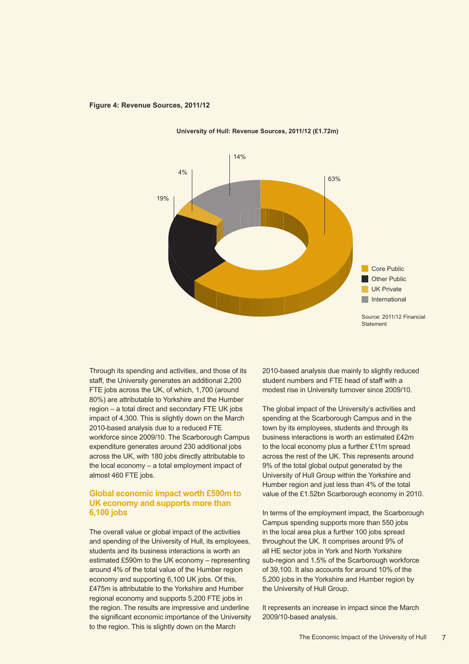

#### **Figure 4: Revenue Sources, 2011/12**

**University of Hull: Revenue Sources, 2011/12 (£1.72m)**

Through its spending and activities, and those of its staff, the University generates an additional 2,200 FTE jobs across the UK, of which, 1,700 (around 80%) are attributable to Yorkshire and the Humber region – a total direct and secondary FTE UK jobs impact of 4,300. This is slightly down on the March 2010-based analysis due to a reduced FTE workforce since 2009/10. The Scarborough Campus expenditure generates around 230 additional jobs across the UK, with 180 jobs directly attributable to the local economy – a total employment impact of almost 460 FTE jobs.

#### **Global economic impact worth £590m to UK economy and supports more than 6,100 jobs**

The overall value or global impact of the activities and spending of the University of Hull, its employees, students and its business interactions is worth an estimated £590m to the UK economy – representing around 4% of the total value of the Humber region economy and supporting 6,100 UK jobs. Of this, £475m is attributable to the Yorkshire and Humber regional economy and supports 5,200 FTE jobs in the region. The results are impressive and underline the significant economic importance of the University to the region. This is slightly down on the March

2010-based analysis due mainly to slightly reduced student numbers and FTE head of staff with a modest rise in University turnover since 2009/10.

The global impact of the University's activities and spending at the Scarborough Campus and in the town by its employees, students and through its business interactions is worth an estimated £42m to the local economy plus a further £11m spread across the rest of the UK. This represents around 9% of the total global output generated by the University of Hull Group within the Yorkshire and Humber region and just less than 4% of the total value of the £1.52bn Scarborough economy in 2010.

In terms of the employment impact, the Scarborough Campus spending supports more than 550 jobs in the local area plus a further 100 jobs spread throughout the UK. It comprises around 9% of all HE sector jobs in York and North Yorkshire sub-region and 1.5% of the Scarborough workforce of 39,100. It also accounts for around 10% of the 5,200 jobs in the Yorkshire and Humber region by the University of Hull Group.

It represents an increase in impact since the March 2009/10-based analysis.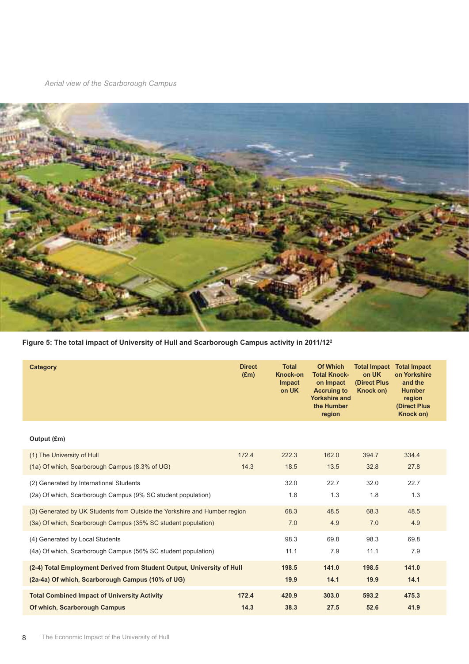*Aerial view of the Scarborough Campus*



**Figure 5: The total impact of University of Hull and Scarborough Campus activity in 2011/122**

| Category                                                                  | <b>Direct</b><br>(Em) | <b>Total</b><br><b>Knock-on</b><br><b>Impact</b><br>on UK | <b>Of Which</b><br><b>Total Knock-</b><br>on Impact<br><b>Accruing to</b><br><b>Yorkshire and</b><br>the Humber<br>region | <b>Total Impact</b><br>on UK<br>(Direct Plus<br>Knock on) | <b>Total Impact</b><br>on Yorkshire<br>and the<br><b>Humber</b><br>region<br>(Direct Plus<br>Knock on) |
|---------------------------------------------------------------------------|-----------------------|-----------------------------------------------------------|---------------------------------------------------------------------------------------------------------------------------|-----------------------------------------------------------|--------------------------------------------------------------------------------------------------------|
| Output (£m)                                                               |                       |                                                           |                                                                                                                           |                                                           |                                                                                                        |
| (1) The University of Hull                                                | 172.4                 | 222.3                                                     | 162.0                                                                                                                     | 394.7                                                     | 334.4                                                                                                  |
| (1a) Of which, Scarborough Campus (8.3% of UG)                            | 14.3                  | 18.5                                                      | 13.5                                                                                                                      | 32.8                                                      | 27.8                                                                                                   |
| (2) Generated by International Students                                   |                       | 32.0                                                      | 22.7                                                                                                                      | 32.0                                                      | 22.7                                                                                                   |
| (2a) Of which, Scarborough Campus (9% SC student population)              |                       | 1.8                                                       | 1.3                                                                                                                       | 1.8                                                       | 1.3                                                                                                    |
| (3) Generated by UK Students from Outside the Yorkshire and Humber region |                       | 68.3                                                      | 48.5                                                                                                                      | 68.3                                                      | 48.5                                                                                                   |
| (3a) Of which, Scarborough Campus (35% SC student population)             |                       | 7.0                                                       | 4.9                                                                                                                       | 7.0                                                       | 4.9                                                                                                    |
| (4) Generated by Local Students                                           |                       | 98.3                                                      | 69.8                                                                                                                      | 98.3                                                      | 69.8                                                                                                   |
| (4a) Of which, Scarborough Campus (56% SC student population)             |                       | 11.1                                                      | 7.9                                                                                                                       | 11.1                                                      | 7.9                                                                                                    |
| (2-4) Total Employment Derived from Student Output, University of Hull    |                       | 198.5                                                     | 141.0                                                                                                                     | 198.5                                                     | 141.0                                                                                                  |
| (2a-4a) Of which, Scarborough Campus (10% of UG)                          |                       | 19.9                                                      | 14.1                                                                                                                      | 19.9                                                      | 14.1                                                                                                   |
| <b>Total Combined Impact of University Activity</b>                       | 172.4                 | 420.9                                                     | 303.0                                                                                                                     | 593.2                                                     | 475.3                                                                                                  |
| Of which, Scarborough Campus                                              | 14.3                  | 38.3                                                      | 27.5                                                                                                                      | 52.6                                                      | 41.9                                                                                                   |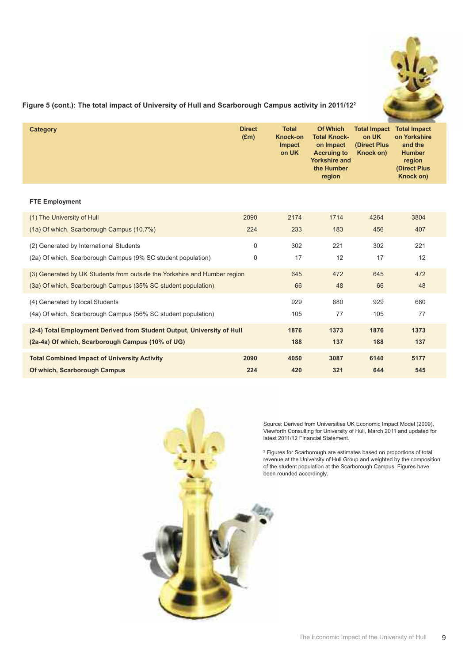

#### **Figure 5 (cont.): The total impact of University of Hull and Scarborough Campus activity in 2011/122**

| Category                                                                  | <b>Direct</b><br>$(\text{Em})$ | <b>Total</b><br><b>Knock-on</b><br><b>Impact</b><br>on UK | <b>Of Which</b><br><b>Total Knock-</b><br>on Impact<br><b>Accruing to</b><br><b>Yorkshire and</b><br>the Humber<br>region | <b>Total Impact</b><br>on UK<br>(Direct Plus<br>Knock on) | <b>Total Impact</b><br>on Yorkshire<br>and the<br><b>Humber</b><br>region<br>(Direct Plus<br>Knock on) |
|---------------------------------------------------------------------------|--------------------------------|-----------------------------------------------------------|---------------------------------------------------------------------------------------------------------------------------|-----------------------------------------------------------|--------------------------------------------------------------------------------------------------------|
| <b>FTE Employment</b>                                                     |                                |                                                           |                                                                                                                           |                                                           |                                                                                                        |
| (1) The University of Hull                                                | 2090                           | 2174                                                      | 1714                                                                                                                      | 4264                                                      | 3804                                                                                                   |
| (10.7%) (1a) Of which, Scarborough Campus (10.7%)                         | 224                            | 233                                                       | 183                                                                                                                       | 456                                                       | 407                                                                                                    |
| (2) Generated by International Students                                   | $\Omega$                       | 302                                                       | 221                                                                                                                       | 302                                                       | 221                                                                                                    |
| (2a) Of which, Scarborough Campus (9% SC student population)              | 0                              | 17                                                        | 12                                                                                                                        | 17                                                        | 12                                                                                                     |
| (3) Generated by UK Students from outside the Yorkshire and Humber region |                                | 645                                                       | 472                                                                                                                       | 645                                                       | 472                                                                                                    |
| (3a) Of which, Scarborough Campus (35% SC student population)             |                                | 66                                                        | 48                                                                                                                        | 66                                                        | 48                                                                                                     |
| (4) Generated by local Students                                           |                                | 929                                                       | 680                                                                                                                       | 929                                                       | 680                                                                                                    |
| (4a) Of which, Scarborough Campus (56% SC student population)             |                                | 105                                                       | 77                                                                                                                        | 105                                                       | 77                                                                                                     |
| (2-4) Total Employment Derived from Student Output, University of Hull    |                                | 1876                                                      | 1373                                                                                                                      | 1876                                                      | 1373                                                                                                   |
| (2a-4a) Of which, Scarborough Campus (10% of UG)                          |                                | 188                                                       | 137                                                                                                                       | 188                                                       | 137                                                                                                    |
| <b>Total Combined Impact of University Activity</b>                       | 2090                           | 4050                                                      | 3087                                                                                                                      | 6140                                                      | 5177                                                                                                   |
| Of which, Scarborough Campus                                              | 224                            | 420                                                       | 321                                                                                                                       | 644                                                       | 545                                                                                                    |



Source: Derived from Universities UK Economic Impact Model (2009), Viewforth Consulting for University of Hull, March 2011 and updated for latest 2011/12 Financial Statement.

<sup>2</sup> Figures for Scarborough are estimates based on proportions of total revenue at the University of Hull Group and weighted by the composition of the student population at the Scarborough Campus. Figures have been rounded accordingly.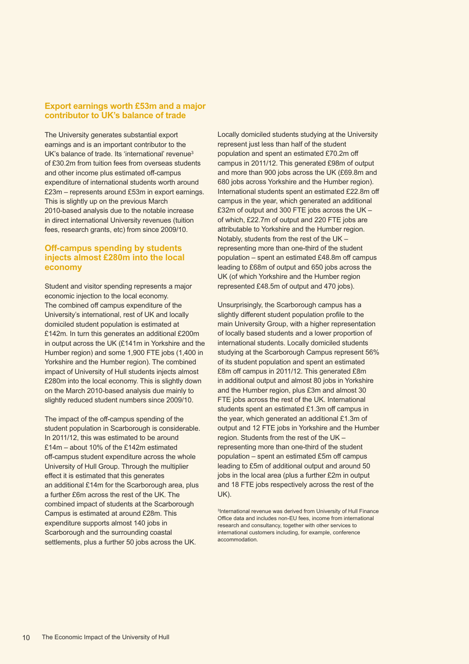#### **Export earnings worth £53m and a major contributor to UK's balance of trade**

The University generates substantial export earnings and is an important contributor to the UK's balance of trade. Its 'international' revenue<sup>3</sup> of £30.2m from tuition fees from overseas students and other income plus estimated off-campus expenditure of international students worth around £23m – represents around £53m in export earnings. This is slightly up on the previous March 2010-based analysis due to the notable increase in direct international University revenues (tuition fees, research grants, etc) from since 2009/10.

#### **Off-campus spending by students injects almost £280m into the local economy**

Student and visitor spending represents a major economic injection to the local economy. The combined off campus expenditure of the University's international, rest of UK and locally domiciled student population is estimated at £142m. In turn this generates an additional £200m in output across the UK (£141m in Yorkshire and the Humber region) and some 1,900 FTE jobs (1,400 in Yorkshire and the Humber region). The combined impact of University of Hull students injects almost £280m into the local economy. This is slightly down on the March 2010-based analysis due mainly to slightly reduced student numbers since 2009/10.

The impact of the off-campus spending of the student population in Scarborough is considerable. In 2011/12, this was estimated to be around £14m – about 10% of the £142m estimated off-campus student expenditure across the whole University of Hull Group. Through the multiplier effect it is estimated that this generates an additional £14m for the Scarborough area, plus a further £6m across the rest of the UK. The combined impact of students at the Scarborough Campus is estimated at around £28m. This expenditure supports almost 140 jobs in Scarborough and the surrounding coastal settlements, plus a further 50 jobs across the UK.

Locally domiciled students studying at the University represent just less than half of the student population and spent an estimated £70.2m off campus in 2011/12. This generated £98m of output and more than 900 jobs across the UK (£69.8m and 680 jobs across Yorkshire and the Humber region). International students spent an estimated £22.8m off campus in the year, which generated an additional £32m of output and 300 FTE jobs across the UK – of which, £22.7m of output and 220 FTE jobs are attributable to Yorkshire and the Humber region. Notably, students from the rest of the UK – representing more than one-third of the student population – spent an estimated £48.8m off campus leading to £68m of output and 650 jobs across the UK (of which Yorkshire and the Humber region represented £48.5m of output and 470 jobs).

Unsurprisingly, the Scarborough campus has a slightly different student population profile to the main University Group, with a higher representation of locally based students and a lower proportion of international students. Locally domiciled students studying at the Scarborough Campus represent 56% of its student population and spent an estimated £8m off campus in 2011/12. This generated £8m in additional output and almost 80 jobs in Yorkshire and the Humber region, plus £3m and almost 30 FTE jobs across the rest of the UK. International students spent an estimated £1.3m off campus in the year, which generated an additional £1.3m of output and 12 FTE jobs in Yorkshire and the Humber region. Students from the rest of the UK – representing more than one-third of the student population – spent an estimated £5m off campus leading to £5m of additional output and around 50 jobs in the local area (plus a further £2m in output and 18 FTE jobs respectively across the rest of the UK).

<sup>3</sup>International revenue was derived from University of Hull Finance Office data and includes non-EU fees, income from international research and consultancy, together with other services to international customers including, for example, conference accommodation.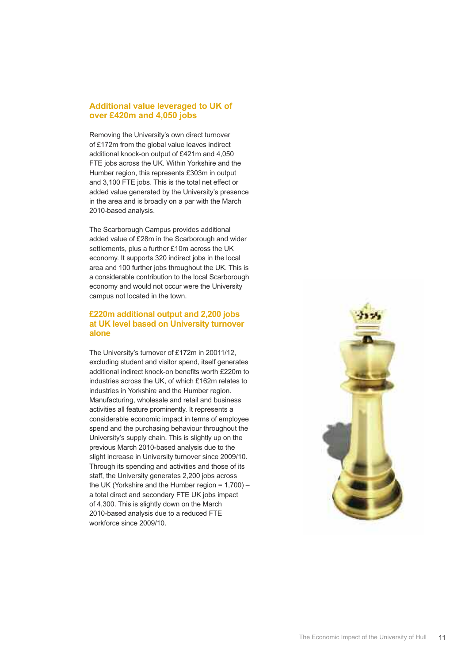#### **Additional value leveraged to UK of over £420m and 4,050 jobs**

Removing the University's own direct turnover of £172m from the global value leaves indirect additional knock-on output of £421m and 4,050 FTE jobs across the UK. Within Yorkshire and the Humber region, this represents £303m in output and 3,100 FTE jobs. This is the total net effect or added value generated by the University's presence in the area and is broadly on a par with the March 2010-based analysis.

The Scarborough Campus provides additional added value of £28m in the Scarborough and wider settlements, plus a further £10m across the UK economy. It supports 320 indirect jobs in the local area and 100 further jobs throughout the UK. This is a considerable contribution to the local Scarborough economy and would not occur were the University campus not located in the town.

#### **£220m additional output and 2,200 jobs at UK level based on University turnover alone**

The University's turnover of £172m in 20011/12, excluding student and visitor spend, itself generates additional indirect knock-on benefits worth £220m to industries across the UK, of which £162m relates to industries in Yorkshire and the Humber region. Manufacturing, wholesale and retail and business activities all feature prominently. It represents a considerable economic impact in terms of employee spend and the purchasing behaviour throughout the University's supply chain. This is slightly up on the previous March 2010-based analysis due to the slight increase in University turnover since 2009/10. Through its spending and activities and those of its staff, the University generates 2,200 jobs across the UK (Yorkshire and the Humber region = 1,700) – a total direct and secondary FTE UK jobs impact of 4,300. This is slightly down on the March 2010-based analysis due to a reduced FTE workforce since 2009/10.

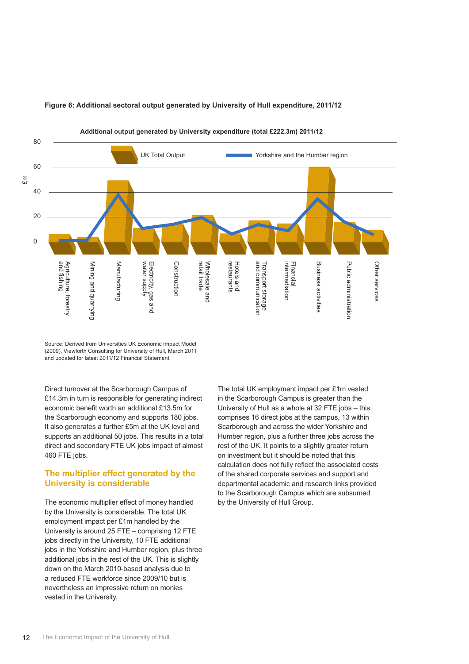

#### **Figure 6: Additional sectoral output generated by University of Hull expenditure, 2011/12**

Source: Derived from Universities UK Economic Impact Model (2009), Viewforth Consulting for University of Hull, March 2011 and updated for latest 2011/12 Financial Statement.

Direct turnover at the Scarborough Campus of £14.3m in turn is responsible for generating indirect economic benefit worth an additional £13.5m for the Scarborough economy and supports 180 jobs. It also generates a further £5m at the UK level and supports an additional 50 jobs. This results in a total direct and secondary FTE UK jobs impact of almost 460 FTE jobs.

#### **The multiplier effect generated by the University is considerable**

The economic multiplier effect of money handled by the University is considerable. The total UK employment impact per £1m handled by the University is around 25 FTE – comprising 12 FTE jobs directly in the University, 10 FTE additional jobs in the Yorkshire and Humber region, plus three additional jobs in the rest of the UK. This is slightly down on the March 2010-based analysis due to a reduced FTE workforce since 2009/10 but is nevertheless an impressive return on monies vested in the University.

The total UK employment impact per £1m vested in the Scarborough Campus is greater than the University of Hull as a whole at 32 FTE jobs – this comprises 16 direct jobs at the campus, 13 within Scarborough and across the wider Yorkshire and Humber region, plus a further three jobs across the rest of the UK. It points to a slightly greater return on investment but it should be noted that this calculation does not fully reflect the associated costs of the shared corporate services and support and departmental academic and research links provided to the Scarborough Campus which are subsumed by the University of Hull Group.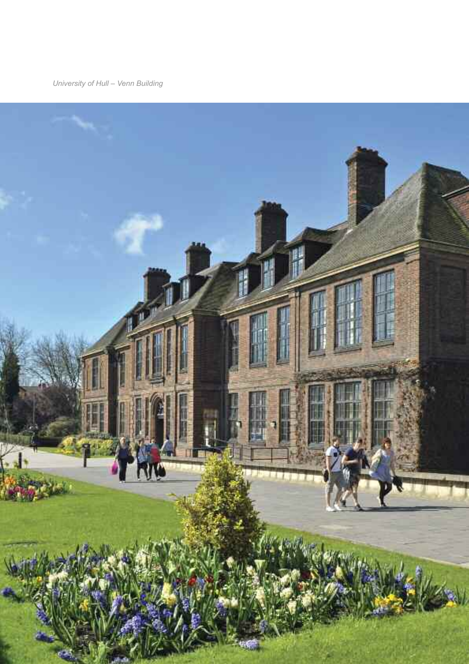*University of Hull – Venn Building*